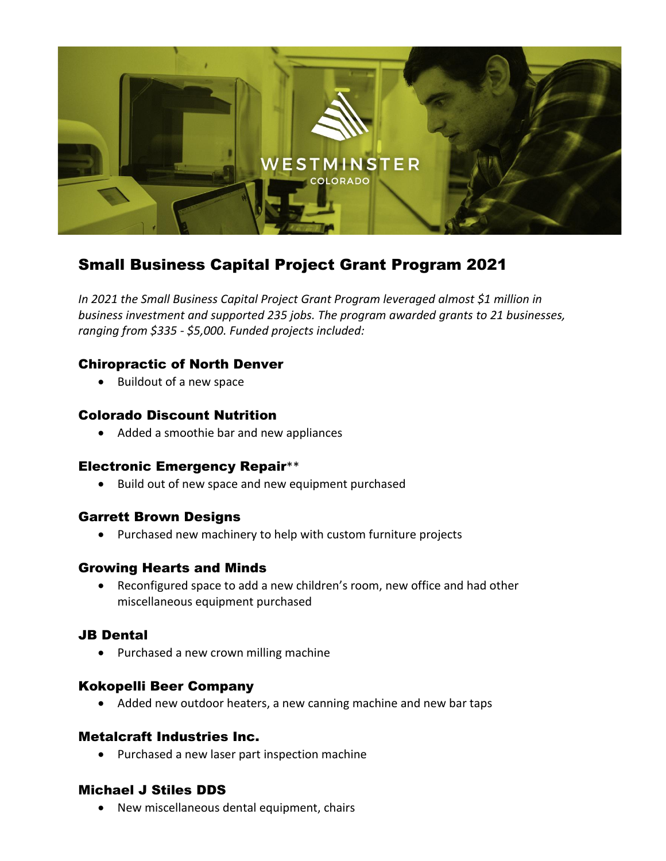

# Small Business Capital Project Grant Program 2021

*In 2021 the Small Business Capital Project Grant Program leveraged almost \$1 million in business investment and supported 235 jobs. The program awarded grants to 21 businesses, ranging from \$335 - \$5,000. Funded projects included:*

# Chiropractic of North Denver

• Buildout of a new space

## Colorado Discount Nutrition

• Added a smoothie bar and new appliances

## Electronic Emergency Repair\*\*

• Build out of new space and new equipment purchased

## Garrett Brown Designs

• Purchased new machinery to help with custom furniture projects

# Growing Hearts and Minds

• Reconfigured space to add a new children's room, new office and had other miscellaneous equipment purchased

# JB Dental

• Purchased a new crown milling machine

# Kokopelli Beer Company

• Added new outdoor heaters, a new canning machine and new bar taps

## Metalcraft Industries Inc.

• Purchased a new laser part inspection machine

# Michael J Stiles DDS

• New miscellaneous dental equipment, chairs